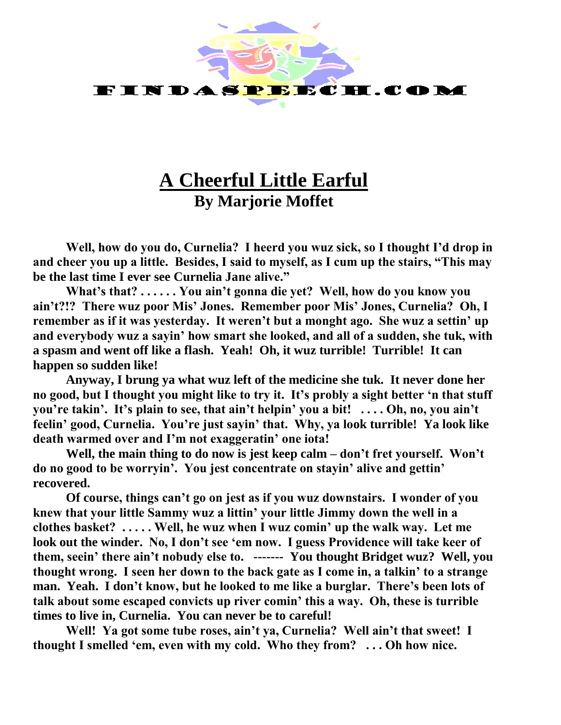

## **A Cheerful Little Earful By Marjorie Moffet**

**Well, how do you do, Curnelia? I heerd you wuz sick, so I thought I'd drop in and cheer you up a little. Besides, I said to myself, as I cum up the stairs, "This may be the last time I ever see Curnelia Jane alive."**

**What's that? . . . . . . You ain't gonna die yet? Well, how do you know you ain't?!? There wuz poor Mis' Jones. Remember poor Mis' Jones, Curnelia? Oh, I remember as if it was yesterday. It weren't but a monght ago. She wuz a settin' up and everybody wuz a sayin' how smart she looked, and all of a sudden, she tuk, with a spasm and went off like a flash. Yeah! Oh, it wuz turrible! Turrible! It can happen so sudden like!**

**Anyway, I brung ya what wuz left of the medicine she tuk. It never done her no good, but I thought you might like to try it. It's probly a sight better 'n that stuff you're takin'. It's plain to see, that ain't helpin' you a bit! . . . . Oh, no, you ain't feelin' good, Curnelia. You're just sayin' that. Why, ya look turrible! Ya look like death warmed over and I'm not exaggeratin' one iota!**

**Well, the main thing to do now is jest keep calm – don't fret yourself. Won't do no good to be worryin'. You jest concentrate on stayin' alive and gettin' recovered.** 

**Of course, things can't go on jest as if you wuz downstairs. I wonder of you knew that your little Sammy wuz a littin' your little Jimmy down the well in a clothes basket? . . . . . Well, he wuz when I wuz comin' up the walk way. Let me look out the winder. No, I don't see 'em now. I guess Providence will take keer of them, seein' there ain't nobudy else to. ------- You thought Bridget wuz? Well, you thought wrong. I seen her down to the back gate as I come in, a talkin' to a strange man. Yeah. I don't know, but he looked to me like a burglar. There's been lots of talk about some escaped convicts up river comin' this a way. Oh, these is turrible times to live in, Curnelia. You can never be to careful!** 

**Well! Ya got some tube roses, ain't ya, Curnelia? Well ain't that sweet! I thought I smelled 'em, even with my cold. Who they from? . . . Oh how nice.**